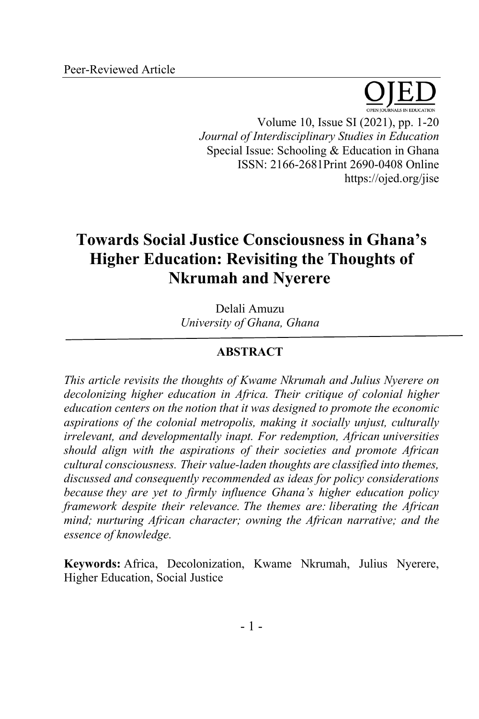Volume 10, Issue SI (2021), pp. 1-20 *Journal of Interdisciplinary Studies in Education* Special Issue: Schooling & Education in Ghana ISSN: 2166-2681Print 2690-0408 Online https://ojed.org/jise

# **Towards Social Justice Consciousness in Ghana's Higher Education: Revisiting the Thoughts of Nkrumah and Nyerere**

Delali Amuzu *University of Ghana, Ghana*

# **ABSTRACT**

*This article revisits the thoughts of Kwame Nkrumah and Julius Nyerere on decolonizing higher education in Africa. Their critique of colonial higher education centers on the notion that it was designed to promote the economic aspirations of the colonial metropolis, making it socially unjust, culturally irrelevant, and developmentally inapt. For redemption, African universities should align with the aspirations of their societies and promote African cultural consciousness. Their value-laden thoughts are classified into themes, discussed and consequently recommended as ideas for policy considerations because they are yet to firmly influence Ghana's higher education policy framework despite their relevance. The themes are: liberating the African mind; nurturing African character; owning the African narrative; and the essence of knowledge.*

**Keywords:** Africa, Decolonization, Kwame Nkrumah, Julius Nyerere, Higher Education, Social Justice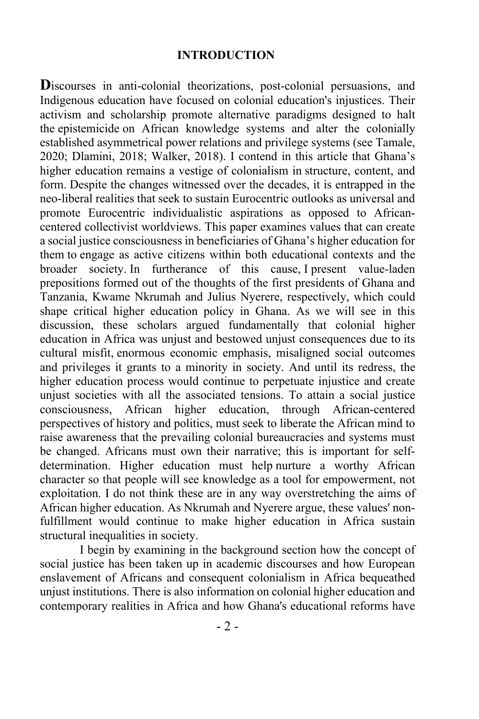#### **INTRODUCTION**

Discourses in anti-colonial theorizations, post-colonial persuasions, and Indigenous education have focused on colonial education's injustices. Their activism and scholarship promote alternative paradigms designed to halt the epistemicide on African knowledge systems and alter the colonially established asymmetrical power relations and privilege systems (see Tamale, 2020; Dlamini, 2018; Walker, 2018). I contend in this article that Ghana's higher education remains a vestige of colonialism in structure, content, and form. Despite the changes witnessed over the decades, it is entrapped in the neo-liberal realities that seek to sustain Eurocentric outlooks as universal and promote Eurocentric individualistic aspirations as opposed to Africancentered collectivist worldviews. This paper examines values that can create a social justice consciousness in beneficiaries of Ghana's higher education for them to engage as active citizens within both educational contexts and the broader society. In furtherance of this cause, I present value-laden prepositions formed out of the thoughts of the first presidents of Ghana and Tanzania, Kwame Nkrumah and Julius Nyerere, respectively, which could shape critical higher education policy in Ghana. As we will see in this discussion, these scholars argued fundamentally that colonial higher education in Africa was unjust and bestowed unjust consequences due to its cultural misfit, enormous economic emphasis, misaligned social outcomes and privileges it grants to a minority in society. And until its redress, the higher education process would continue to perpetuate injustice and create unjust societies with all the associated tensions. To attain a social justice consciousness, African higher education, through African-centered perspectives of history and politics, must seek to liberate the African mind to raise awareness that the prevailing colonial bureaucracies and systems must be changed. Africans must own their narrative; this is important for selfdetermination. Higher education must help nurture a worthy African character so that people will see knowledge as a tool for empowerment, not exploitation. I do not think these are in any way overstretching the aims of African higher education. As Nkrumah and Nyerere argue, these values' nonfulfillment would continue to make higher education in Africa sustain structural inequalities in society.

I begin by examining in the background section how the concept of social justice has been taken up in academic discourses and how European enslavement of Africans and consequent colonialism in Africa bequeathed unjust institutions. There is also information on colonial higher education and contemporary realities in Africa and how Ghana's educational reforms have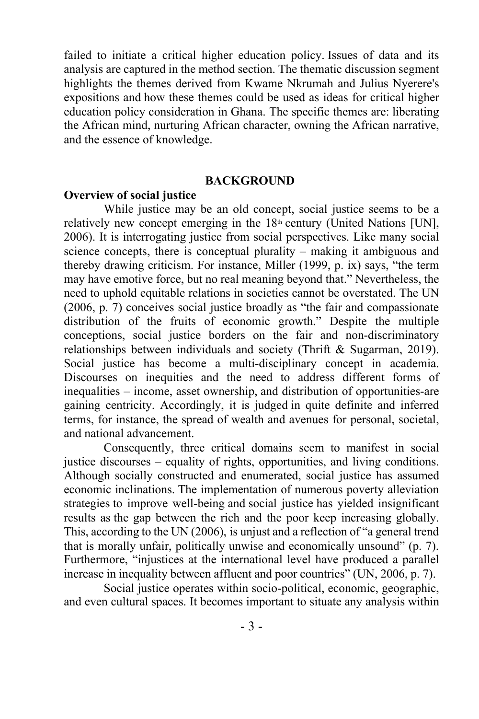failed to initiate a critical higher education policy. Issues of data and its analysis are captured in the method section. The thematic discussion segment highlights the themes derived from Kwame Nkrumah and Julius Nyerere's expositions and how these themes could be used as ideas for critical higher education policy consideration in Ghana. The specific themes are: liberating the African mind, nurturing African character, owning the African narrative, and the essence of knowledge.

#### **BACKGROUND**

#### **Overview of social justice**

While justice may be an old concept, social justice seems to be a relatively new concept emerging in the  $18<sup>th</sup>$  century (United Nations [UN], 2006). It is interrogating justice from social perspectives. Like many social science concepts, there is conceptual plurality – making it ambiguous and thereby drawing criticism. For instance, Miller (1999, p. ix) says, "the term may have emotive force, but no real meaning beyond that." Nevertheless, the need to uphold equitable relations in societies cannot be overstated. The UN (2006, p. 7) conceives social justice broadly as "the fair and compassionate distribution of the fruits of economic growth." Despite the multiple conceptions, social justice borders on the fair and non-discriminatory relationships between individuals and society (Thrift & Sugarman, 2019). Social justice has become a multi-disciplinary concept in academia. Discourses on inequities and the need to address different forms of inequalities – income, asset ownership, and distribution of opportunities-are gaining centricity. Accordingly, it is judged in quite definite and inferred terms, for instance, the spread of wealth and avenues for personal, societal, and national advancement.

Consequently, three critical domains seem to manifest in social justice discourses – equality of rights, opportunities, and living conditions. Although socially constructed and enumerated, social justice has assumed economic inclinations. The implementation of numerous poverty alleviation strategies to improve well-being and social justice has yielded insignificant results as the gap between the rich and the poor keep increasing globally. This, according to the UN (2006), is unjust and a reflection of "a general trend that is morally unfair, politically unwise and economically unsound" (p. 7). Furthermore, "injustices at the international level have produced a parallel increase in inequality between affluent and poor countries" (UN, 2006, p. 7).

Social justice operates within socio-political, economic, geographic, and even cultural spaces. It becomes important to situate any analysis within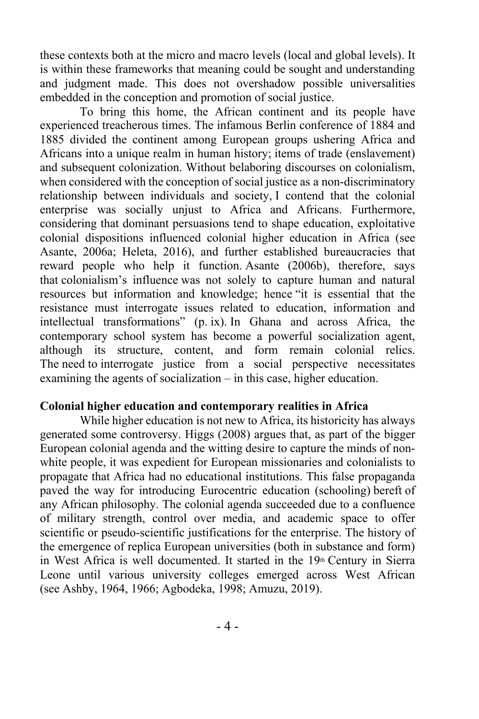these contexts both at the micro and macro levels (local and global levels). It is within these frameworks that meaning could be sought and understanding and judgment made. This does not overshadow possible universalities embedded in the conception and promotion of social justice.

To bring this home, the African continent and its people have experienced treacherous times. The infamous Berlin conference of 1884 and 1885 divided the continent among European groups ushering Africa and Africans into a unique realm in human history; items of trade (enslavement) and subsequent colonization. Without belaboring discourses on colonialism, when considered with the conception of social justice as a non-discriminatory relationship between individuals and society, I contend that the colonial enterprise was socially unjust to Africa and Africans. Furthermore, considering that dominant persuasions tend to shape education, exploitative colonial dispositions influenced colonial higher education in Africa (see Asante, 2006a; Heleta, 2016), and further established bureaucracies that reward people who help it function. Asante (2006b), therefore, says that colonialism's influence was not solely to capture human and natural resources but information and knowledge; hence "it is essential that the resistance must interrogate issues related to education, information and intellectual transformations" (p. ix). In Ghana and across Africa, the contemporary school system has become a powerful socialization agent, although its structure, content, and form remain colonial relics. The need to interrogate justice from a social perspective necessitates examining the agents of socialization – in this case, higher education.

## **Colonial higher education and contemporary realities in Africa**

While higher education is not new to Africa, its historicity has always generated some controversy. Higgs (2008) argues that, as part of the bigger European colonial agenda and the witting desire to capture the minds of nonwhite people, it was expedient for European missionaries and colonialists to propagate that Africa had no educational institutions. This false propaganda paved the way for introducing Eurocentric education (schooling) bereft of any African philosophy. The colonial agenda succeeded due to a confluence of military strength, control over media, and academic space to offer scientific or pseudo-scientific justifications for the enterprise. The history of the emergence of replica European universities (both in substance and form) in West Africa is well documented. It started in the  $19<sup>th</sup>$  Century in Sierra Leone until various university colleges emerged across West African (see Ashby, 1964, 1966; Agbodeka, 1998; Amuzu, 2019).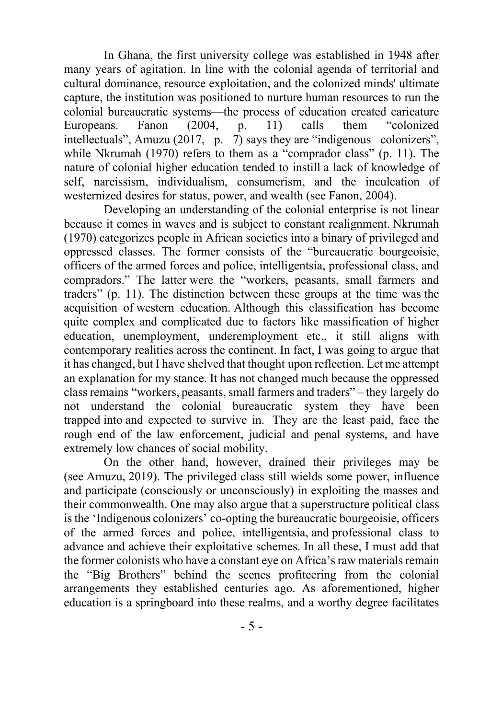In Ghana, the first university college was established in 1948 after many years of agitation. In line with the colonial agenda of territorial and cultural dominance, resource exploitation, and the colonized minds' ultimate capture, the institution was positioned to nurture human resources to run the colonial bureaucratic systems—the process of education created caricature Europeans. Fanon (2004, p. 11) calls them "colonized intellectuals", Amuzu (2017, p. 7) says they are "indigenous colonizers", while Nkrumah (1970) refers to them as a "comprador class" (p. 11). The nature of colonial higher education tended to instill a lack of knowledge of self, narcissism, individualism, consumerism, and the inculcation of westernized desires for status, power, and wealth (see Fanon, 2004).

Developing an understanding of the colonial enterprise is not linear because it comes in waves and is subject to constant realignment. Nkrumah (1970) categorizes people in African societies into a binary of privileged and oppressed classes. The former consists of the "bureaucratic bourgeoisie, officers of the armed forces and police, intelligentsia, professional class, and compradors." The latter were the "workers, peasants, small farmers and traders" (p. 11). The distinction between these groups at the time was the acquisition of western education. Although this classification has become quite complex and complicated due to factors like massification of higher education, unemployment, underemployment etc., it still aligns with contemporary realities across the continent. In fact, I was going to argue that it has changed, but I have shelved that thought upon reflection. Let me attempt an explanation for my stance. It has not changed much because the oppressed class remains "workers, peasants, small farmers and traders" – they largely do not understand the colonial bureaucratic system they have been trapped into and expected to survive in. They are the least paid, face the rough end of the law enforcement, judicial and penal systems, and have extremely low chances of social mobility.

On the other hand, however, drained their privileges may be (see Amuzu, 2019). The privileged class still wields some power, influence and participate (consciously or unconsciously) in exploiting the masses and their commonwealth. One may also argue that a superstructure political class is the 'Indigenous colonizers' co-opting the bureaucratic bourgeoisie, officers of the armed forces and police, intelligentsia, and professional class to advance and achieve their exploitative schemes. In all these, I must add that the former colonists who have a constant eye on Africa's raw materials remain the "Big Brothers" behind the scenes profiteering from the colonial arrangements they established centuries ago. As aforementioned, higher education is a springboard into these realms, and a worthy degree facilitates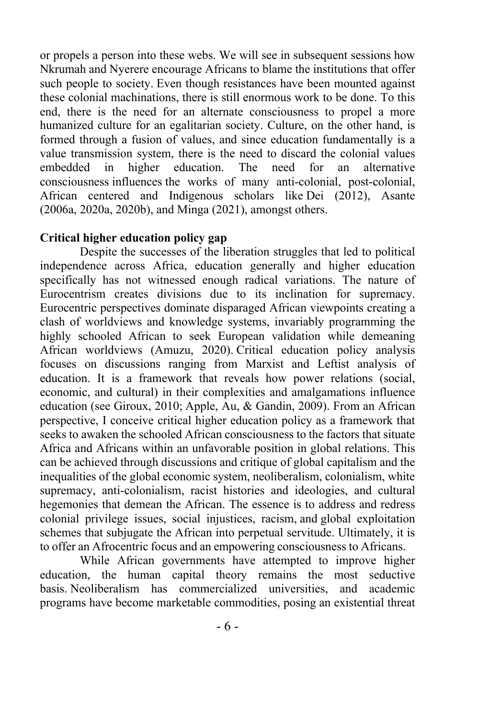or propels a person into these webs. We will see in subsequent sessions how Nkrumah and Nyerere encourage Africans to blame the institutions that offer such people to society. Even though resistances have been mounted against these colonial machinations, there is still enormous work to be done. To this end, there is the need for an alternate consciousness to propel a more humanized culture for an egalitarian society. Culture, on the other hand, is formed through a fusion of values, and since education fundamentally is a value transmission system, there is the need to discard the colonial values embedded in higher education. The need for an alternative consciousness influences the works of many anti-colonial, post-colonial, African centered and Indigenous scholars like Dei (2012), Asante (2006a, 2020a, 2020b), and Minga (2021), amongst others.

## **Critical higher education policy gap**

Despite the successes of the liberation struggles that led to political independence across Africa, education generally and higher education specifically has not witnessed enough radical variations. The nature of Eurocentrism creates divisions due to its inclination for supremacy. Eurocentric perspectives dominate disparaged African viewpoints creating a clash of worldviews and knowledge systems, invariably programming the highly schooled African to seek European validation while demeaning African worldviews (Amuzu, 2020). Critical education policy analysis focuses on discussions ranging from Marxist and Leftist analysis of education. It is a framework that reveals how power relations (social, economic, and cultural) in their complexities and amalgamations influence education (see Giroux, 2010; Apple, Au, & Gandin, 2009). From an African perspective, I conceive critical higher education policy as a framework that seeks to awaken the schooled African consciousness to the factors that situate Africa and Africans within an unfavorable position in global relations. This can be achieved through discussions and critique of global capitalism and the inequalities of the global economic system, neoliberalism, colonialism, white supremacy, anti-colonialism, racist histories and ideologies, and cultural hegemonies that demean the African. The essence is to address and redress colonial privilege issues, social injustices, racism, and global exploitation schemes that subjugate the African into perpetual servitude. Ultimately, it is to offer an Afrocentric focus and an empowering consciousness to Africans.

While African governments have attempted to improve higher education, the human capital theory remains the most seductive basis. Neoliberalism has commercialized universities, and academic programs have become marketable commodities, posing an existential threat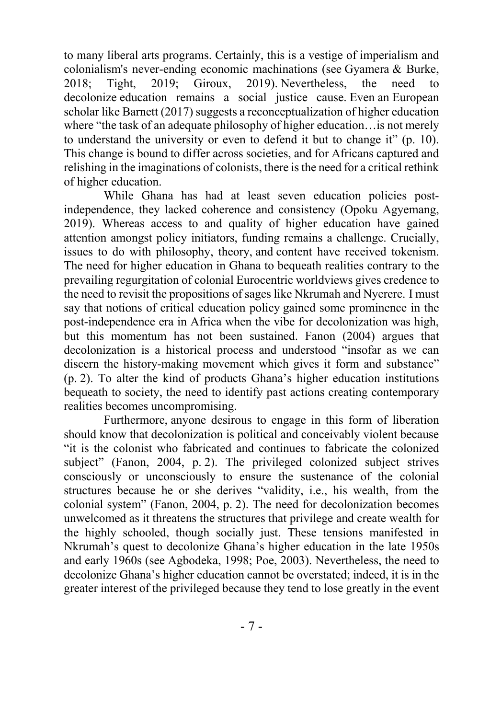to many liberal arts programs. Certainly, this is a vestige of imperialism and colonialism's never-ending economic machinations (see Gyamera & Burke, 2018; Tight, 2019; Giroux, 2019). Nevertheless, the need to decolonize education remains a social justice cause. Even an European scholar like Barnett (2017) suggests a reconceptualization of higher education where "the task of an adequate philosophy of higher education…is not merely to understand the university or even to defend it but to change it" (p. 10). This change is bound to differ across societies, and for Africans captured and relishing in the imaginations of colonists, there is the need for a critical rethink of higher education.

While Ghana has had at least seven education policies postindependence, they lacked coherence and consistency (Opoku Agyemang, 2019). Whereas access to and quality of higher education have gained attention amongst policy initiators, funding remains a challenge. Crucially, issues to do with philosophy, theory, and content have received tokenism. The need for higher education in Ghana to bequeath realities contrary to the prevailing regurgitation of colonial Eurocentric worldviews gives credence to the need to revisit the propositions of sages like Nkrumah and Nyerere. I must say that notions of critical education policy gained some prominence in the post-independence era in Africa when the vibe for decolonization was high, but this momentum has not been sustained. Fanon (2004) argues that decolonization is a historical process and understood "insofar as we can discern the history-making movement which gives it form and substance" (p. 2). To alter the kind of products Ghana's higher education institutions bequeath to society, the need to identify past actions creating contemporary realities becomes uncompromising.

Furthermore, anyone desirous to engage in this form of liberation should know that decolonization is political and conceivably violent because "it is the colonist who fabricated and continues to fabricate the colonized subject" (Fanon, 2004, p. 2). The privileged colonized subject strives consciously or unconsciously to ensure the sustenance of the colonial structures because he or she derives "validity, i.e., his wealth, from the colonial system" (Fanon, 2004, p. 2). The need for decolonization becomes unwelcomed as it threatens the structures that privilege and create wealth for the highly schooled, though socially just. These tensions manifested in Nkrumah's quest to decolonize Ghana's higher education in the late 1950s and early 1960s (see Agbodeka, 1998; Poe, 2003). Nevertheless, the need to decolonize Ghana's higher education cannot be overstated; indeed, it is in the greater interest of the privileged because they tend to lose greatly in the event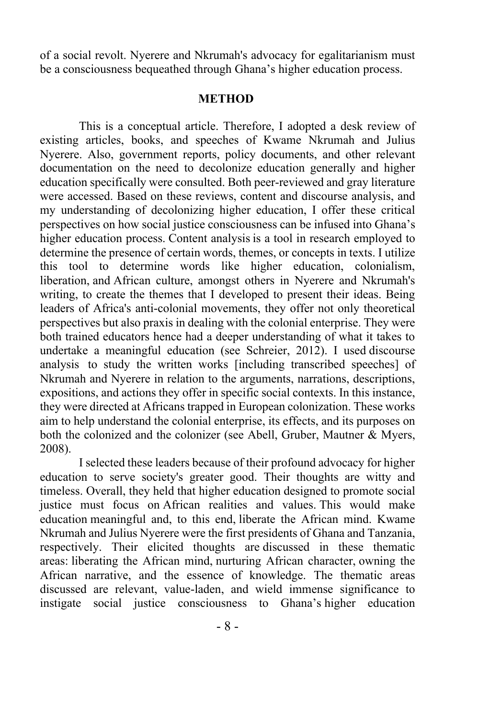of a social revolt. Nyerere and Nkrumah's advocacy for egalitarianism must be a consciousness bequeathed through Ghana's higher education process.

#### **METHOD**

This is a conceptual article. Therefore, I adopted a desk review of existing articles, books, and speeches of Kwame Nkrumah and Julius Nyerere. Also, government reports, policy documents, and other relevant documentation on the need to decolonize education generally and higher education specifically were consulted. Both peer-reviewed and gray literature were accessed. Based on these reviews, content and discourse analysis, and my understanding of decolonizing higher education, I offer these critical perspectives on how social justice consciousness can be infused into Ghana's higher education process. Content analysis is a tool in research employed to determine the presence of certain words, themes, or concepts in texts. I utilize this tool to determine words like higher education, colonialism, liberation, and African culture, amongst others in Nyerere and Nkrumah's writing, to create the themes that I developed to present their ideas. Being leaders of Africa's anti-colonial movements, they offer not only theoretical perspectives but also praxis in dealing with the colonial enterprise. They were both trained educators hence had a deeper understanding of what it takes to undertake a meaningful education (see Schreier, 2012). I used discourse analysis  to study the written works [including transcribed speeches] of Nkrumah and Nyerere in relation to the arguments, narrations, descriptions, expositions, and actions they offer in specific social contexts. In this instance, they were directed at Africans trapped in European colonization. These works aim to help understand the colonial enterprise, its effects, and its purposes on both the colonized and the colonizer (see Abell, Gruber, Mautner & Myers, 2008).

I selected these leaders because of their profound advocacy for higher education to serve society's greater good. Their thoughts are witty and timeless. Overall, they held that higher education designed to promote social justice must focus on African realities and values. This would make education meaningful and, to this end, liberate the African mind. Kwame Nkrumah and Julius Nyerere were the first presidents of Ghana and Tanzania, respectively. Their elicited thoughts are discussed in these thematic areas: liberating the African mind, nurturing African character, owning the African narrative, and the essence of knowledge. The thematic areas discussed are relevant, value-laden, and wield immense significance to instigate social justice consciousness to Ghana's higher education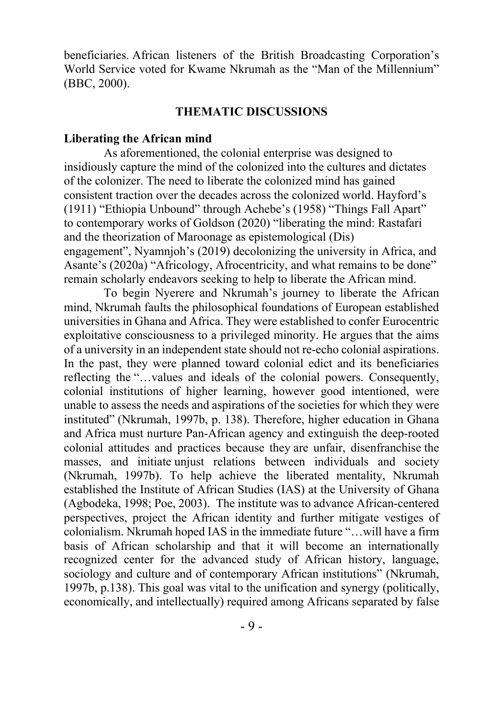beneficiaries. African listeners of the British Broadcasting Corporation's World Service voted for Kwame Nkrumah as the "Man of the Millennium" (BBC, 2000).

#### **THEMATIC DISCUSSIONS**

#### **Liberating the African mind**

As aforementioned, the colonial enterprise was designed to insidiously capture the mind of the colonized into the cultures and dictates of the colonizer. The need to liberate the colonized mind has gained consistent traction over the decades across the colonized world. Hayford's (1911) "Ethiopia Unbound" through Achebe's (1958) "Things Fall Apart" to contemporary works of Goldson (2020) "liberating the mind: Rastafari and the theorization of Maroonage as epistemological (Dis) engagement", Nyamnjoh's (2019) decolonizing the university in Africa, and Asante's (2020a) "Africology, Afrocentricity, and what remains to be done" remain scholarly endeavors seeking to help to liberate the African mind.

To begin Nyerere and Nkrumah's journey to liberate the African mind, Nkrumah faults the philosophical foundations of European established universities in Ghana and Africa. They were established to confer Eurocentric exploitative consciousness to a privileged minority. He argues that the aims of a university in an independent state should not re-echo colonial aspirations. In the past, they were planned toward colonial edict and its beneficiaries reflecting the "…values and ideals of the colonial powers. Consequently, colonial institutions of higher learning, however good intentioned, were unable to assess the needs and aspirations of the societies for which they were instituted" (Nkrumah, 1997b, p. 138). Therefore, higher education in Ghana and Africa must nurture Pan-African agency and extinguish the deep-rooted colonial attitudes and practices because they are unfair, disenfranchise the masses, and initiate unjust relations between individuals and society (Nkrumah, 1997b). To help achieve the liberated mentality, Nkrumah established the Institute of African Studies (IAS) at the University of Ghana (Agbodeka, 1998; Poe, 2003). The institute was to advance African-centered perspectives, project the African identity and further mitigate vestiges of colonialism. Nkrumah hoped IAS in the immediate future "…will have a firm basis of African scholarship and that it will become an internationally recognized center for the advanced study of African history, language, sociology and culture and of contemporary African institutions" (Nkrumah, 1997b, p.138). This goal was vital to the unification and synergy (politically, economically, and intellectually) required among Africans separated by false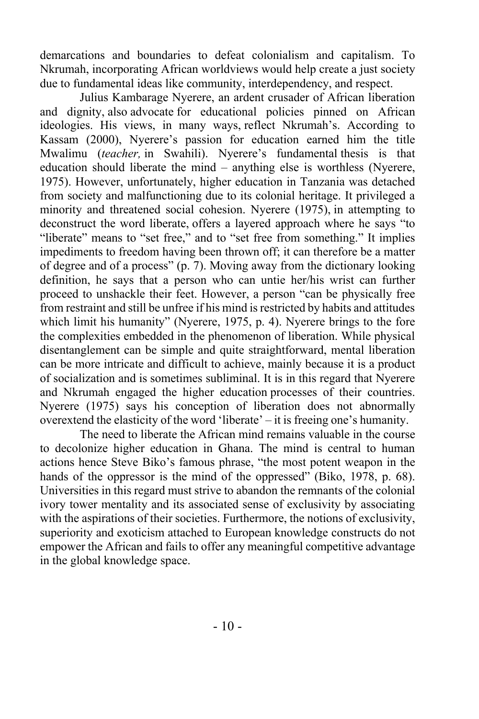demarcations and boundaries to defeat colonialism and capitalism. To Nkrumah, incorporating African worldviews would help create a just society due to fundamental ideas like community, interdependency, and respect.

Julius Kambarage Nyerere, an ardent crusader of African liberation and dignity, also advocate for educational policies pinned on African ideologies. His views, in many ways, reflect Nkrumah's. According to Kassam (2000), Nyerere's passion for education earned him the title Mwalimu (*teacher,* in Swahili). Nyerere's fundamental thesis is that education should liberate the mind – anything else is worthless (Nyerere, 1975). However, unfortunately, higher education in Tanzania was detached from society and malfunctioning due to its colonial heritage. It privileged a minority and threatened social cohesion. Nyerere (1975), in attempting to deconstruct the word liberate, offers a layered approach where he says "to "liberate" means to "set free," and to "set free from something." It implies impediments to freedom having been thrown off; it can therefore be a matter of degree and of a process" (p. 7). Moving away from the dictionary looking definition, he says that a person who can untie her/his wrist can further proceed to unshackle their feet. However, a person "can be physically free from restraint and still be unfree if his mind is restricted by habits and attitudes which limit his humanity" (Nyerere, 1975, p. 4). Nyerere brings to the fore the complexities embedded in the phenomenon of liberation. While physical disentanglement can be simple and quite straightforward, mental liberation can be more intricate and difficult to achieve, mainly because it is a product of socialization and is sometimes subliminal. It is in this regard that Nyerere and Nkrumah engaged the higher education processes of their countries. Nyerere (1975) says his conception of liberation does not abnormally overextend the elasticity of the word 'liberate' – it is freeing one's humanity.

The need to liberate the African mind remains valuable in the course to decolonize higher education in Ghana. The mind is central to human actions hence Steve Biko's famous phrase, "the most potent weapon in the hands of the oppressor is the mind of the oppressed" (Biko, 1978, p. 68). Universities in this regard must strive to abandon the remnants of the colonial ivory tower mentality and its associated sense of exclusivity by associating with the aspirations of their societies. Furthermore, the notions of exclusivity, superiority and exoticism attached to European knowledge constructs do not empower the African and fails to offer any meaningful competitive advantage in the global knowledge space.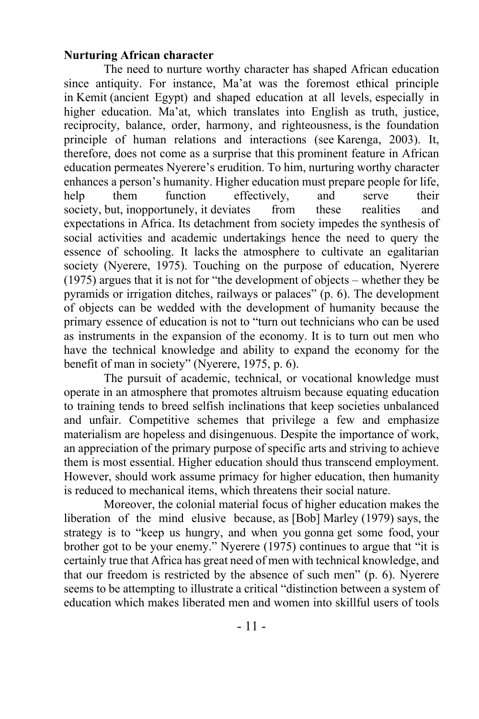## **Nurturing African character**

The need to nurture worthy character has shaped African education since antiquity. For instance, Ma'at was the foremost ethical principle in Kemit (ancient Egypt) and shaped education at all levels, especially in higher education. Ma'at, which translates into English as truth, justice, reciprocity, balance, order, harmony, and righteousness, is the foundation principle of human relations and interactions (see Karenga, 2003). It, therefore, does not come as a surprise that this prominent feature in African education permeates Nyerere's erudition. To him, nurturing worthy character enhances a person's humanity. Higher education must prepare people for life, help them function effectively, and serve their society, but, inopportunely, it deviates from these realities and expectations in Africa. Its detachment from society impedes the synthesis of social activities and academic undertakings hence the need to query the essence of schooling. It lacks the atmosphere to cultivate an egalitarian society (Nyerere, 1975). Touching on the purpose of education, Nyerere (1975) argues that it is not for "the development of objects – whether they be pyramids or irrigation ditches, railways or palaces" (p. 6). The development of objects can be wedded with the development of humanity because the primary essence of education is not to "turn out technicians who can be used as instruments in the expansion of the economy. It is to turn out men who have the technical knowledge and ability to expand the economy for the benefit of man in society" (Nyerere, 1975, p. 6).

The pursuit of academic, technical, or vocational knowledge must operate in an atmosphere that promotes altruism because equating education to training tends to breed selfish inclinations that keep societies unbalanced and unfair. Competitive schemes that privilege a few and emphasize materialism are hopeless and disingenuous. Despite the importance of work, an appreciation of the primary purpose of specific arts and striving to achieve them is most essential. Higher education should thus transcend employment. However, should work assume primacy for higher education, then humanity is reduced to mechanical items, which threatens their social nature.

Moreover, the colonial material focus of higher education makes the liberation of the mind elusive because, as [Bob] Marley (1979) says, the strategy is to "keep us hungry, and when you gonna get some food, your brother got to be your enemy." Nyerere (1975) continues to argue that "it is certainly true that Africa has great need of men with technical knowledge, and that our freedom is restricted by the absence of such men" (p. 6). Nyerere seems to be attempting to illustrate a critical "distinction between a system of education which makes liberated men and women into skillful users of tools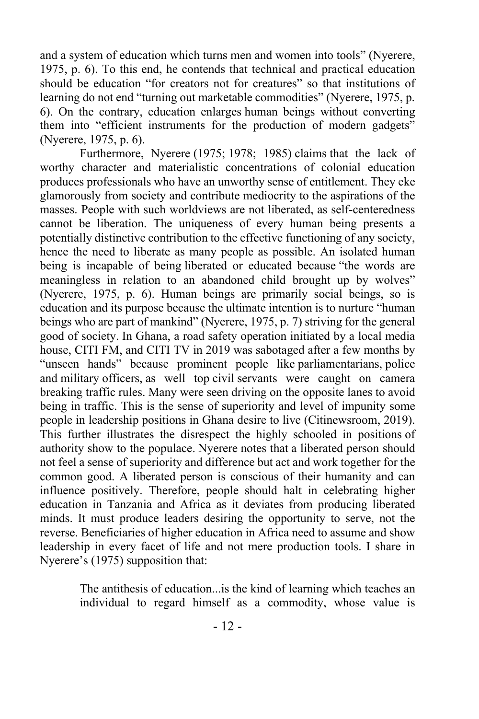and a system of education which turns men and women into tools" (Nyerere, 1975, p. 6). To this end, he contends that technical and practical education should be education "for creators not for creatures" so that institutions of learning do not end "turning out marketable commodities" (Nyerere, 1975, p. 6). On the contrary, education enlarges human beings without converting them into "efficient instruments for the production of modern gadgets" (Nyerere, 1975, p. 6).

Furthermore, Nyerere (1975; 1978; 1985) claims that the lack of worthy character and materialistic concentrations of colonial education produces professionals who have an unworthy sense of entitlement. They eke glamorously from society and contribute mediocrity to the aspirations of the masses. People with such worldviews are not liberated, as self-centeredness cannot be liberation. The uniqueness of every human being presents a potentially distinctive contribution to the effective functioning of any society, hence the need to liberate as many people as possible. An isolated human being is incapable of being liberated or educated because "the words are meaningless in relation to an abandoned child brought up by wolves" (Nyerere, 1975, p. 6). Human beings are primarily social beings, so is education and its purpose because the ultimate intention is to nurture "human beings who are part of mankind" (Nyerere, 1975, p. 7) striving for the general good of society. In Ghana, a road safety operation initiated by a local media house, CITI FM, and CITI TV in 2019 was sabotaged after a few months by "unseen hands" because prominent people like parliamentarians, police and military officers, as well top civil servants were caught on camera breaking traffic rules. Many were seen driving on the opposite lanes to avoid being in traffic. This is the sense of superiority and level of impunity some people in leadership positions in Ghana desire to live (Citinewsroom, 2019). This further illustrates the disrespect the highly schooled in positions of authority show to the populace. Nyerere notes that a liberated person should not feel a sense of superiority and difference but act and work together for the common good. A liberated person is conscious of their humanity and can influence positively. Therefore, people should halt in celebrating higher education in Tanzania and Africa as it deviates from producing liberated minds. It must produce leaders desiring the opportunity to serve, not the reverse. Beneficiaries of higher education in Africa need to assume and show leadership in every facet of life and not mere production tools. I share in Nyerere's (1975) supposition that:

> The antithesis of education...is the kind of learning which teaches an individual to regard himself as a commodity, whose value is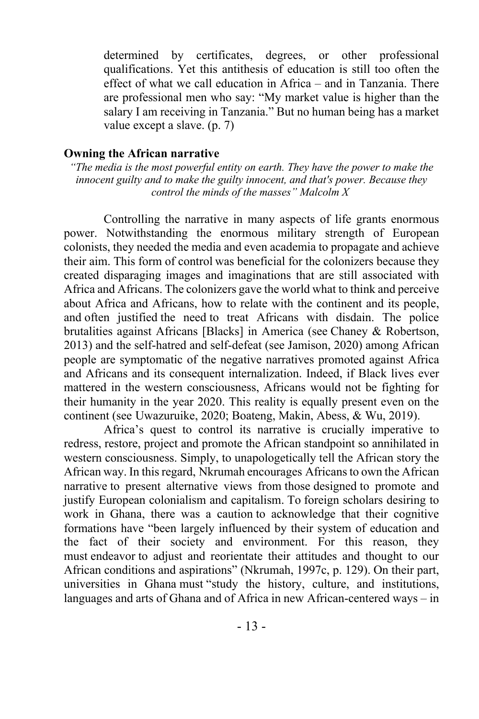determined by certificates, degrees, or other professional qualifications. Yet this antithesis of education is still too often the effect of what we call education in Africa – and in Tanzania. There are professional men who say: "My market value is higher than the salary I am receiving in Tanzania." But no human being has a market value except a slave. (p. 7)

#### **Owning the African narrative**

*"The media is the most powerful entity on earth. They have the power to make the innocent guilty and to make the guilty innocent, and that's power. Because they control the minds of the masses" Malcolm X*

Controlling the narrative in many aspects of life grants enormous power. Notwithstanding the enormous military strength of European colonists, they needed the media and even academia to propagate and achieve their aim. This form of control was beneficial for the colonizers because they created disparaging images and imaginations that are still associated with Africa and Africans. The colonizers gave the world what to think and perceive about Africa and Africans, how to relate with the continent and its people, and often justified the need to treat Africans with disdain. The police brutalities against Africans [Blacks] in America (see Chaney & Robertson, 2013) and the self-hatred and self-defeat (see Jamison, 2020) among African people are symptomatic of the negative narratives promoted against Africa and Africans and its consequent internalization. Indeed, if Black lives ever mattered in the western consciousness, Africans would not be fighting for their humanity in the year 2020. This reality is equally present even on the continent (see Uwazuruike, 2020; Boateng, Makin, Abess, & Wu, 2019).

Africa's quest to control its narrative is crucially imperative to redress, restore, project and promote the African standpoint so annihilated in western consciousness. Simply, to unapologetically tell the African story the African way. In this regard, Nkrumah encourages Africans to own the African narrative to present alternative views from those designed to promote and justify European colonialism and capitalism. To foreign scholars desiring to work in Ghana, there was a caution to acknowledge that their cognitive formations have "been largely influenced by their system of education and the fact of their society and environment. For this reason, they must endeavor to adjust and reorientate their attitudes and thought to our African conditions and aspirations" (Nkrumah, 1997c, p. 129). On their part, universities in Ghana must "study the history, culture, and institutions, languages and arts of Ghana and of Africa in new African-centered ways – in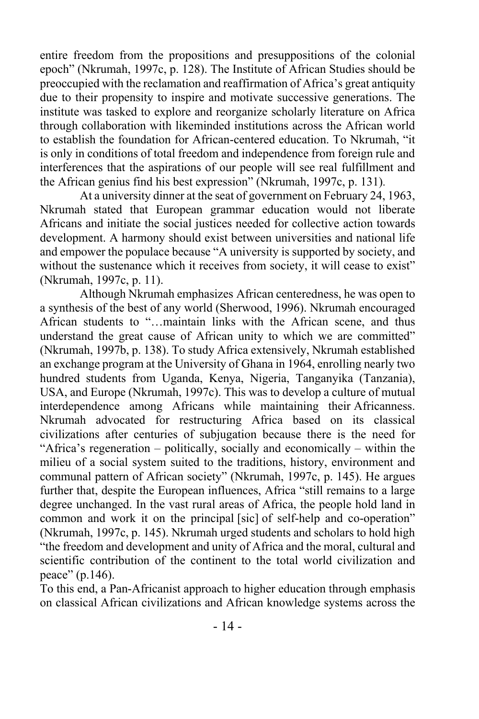entire freedom from the propositions and presuppositions of the colonial epoch" (Nkrumah, 1997c, p. 128). The Institute of African Studies should be preoccupied with the reclamation and reaffirmation of Africa's great antiquity due to their propensity to inspire and motivate successive generations. The institute was tasked to explore and reorganize scholarly literature on Africa through collaboration with likeminded institutions across the African world to establish the foundation for African-centered education. To Nkrumah, "it is only in conditions of total freedom and independence from foreign rule and interferences that the aspirations of our people will see real fulfillment and the African genius find his best expression" (Nkrumah, 1997c, p. 131)*.*

At a university dinner at the seat of government on February 24, 1963, Nkrumah stated that European grammar education would not liberate Africans and initiate the social justices needed for collective action towards development. A harmony should exist between universities and national life and empower the populace because "A university is supported by society, and without the sustenance which it receives from society, it will cease to exist" (Nkrumah, 1997c, p. 11).

Although Nkrumah emphasizes African centeredness, he was open to a synthesis of the best of any world (Sherwood, 1996). Nkrumah encouraged African students to "…maintain links with the African scene, and thus understand the great cause of African unity to which we are committed" (Nkrumah, 1997b, p. 138). To study Africa extensively, Nkrumah established an exchange program at the University of Ghana in 1964, enrolling nearly two hundred students from Uganda, Kenya, Nigeria, Tanganyika (Tanzania), USA, and Europe (Nkrumah, 1997c). This was to develop a culture of mutual interdependence among Africans while maintaining their Africanness. Nkrumah advocated for restructuring Africa based on its classical civilizations after centuries of subjugation because there is the need for "Africa's regeneration – politically, socially and economically – within the milieu of a social system suited to the traditions, history, environment and communal pattern of African society" (Nkrumah, 1997c, p. 145). He argues further that, despite the European influences, Africa "still remains to a large degree unchanged. In the vast rural areas of Africa, the people hold land in common and work it on the principal [sic] of self-help and co-operation" (Nkrumah, 1997c, p. 145). Nkrumah urged students and scholars to hold high "the freedom and development and unity of Africa and the moral, cultural and scientific contribution of the continent to the total world civilization and peace" (p.146).

To this end, a Pan-Africanist approach to higher education through emphasis on classical African civilizations and African knowledge systems across the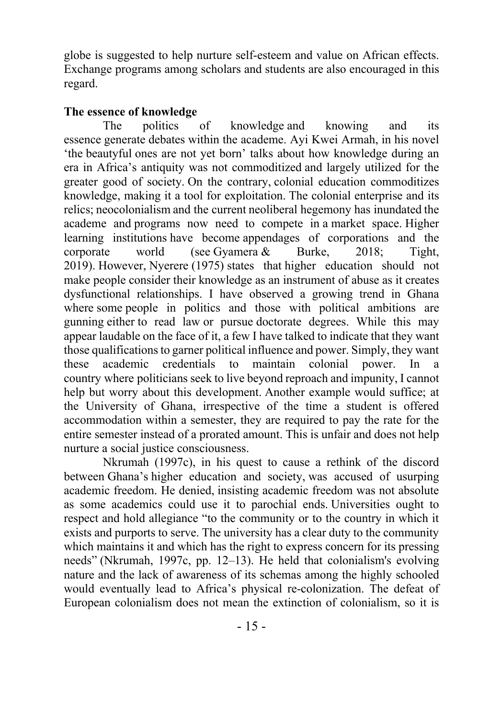globe is suggested to help nurture self-esteem and value on African effects. Exchange programs among scholars and students are also encouraged in this regard.

## **The essence of knowledge**

The politics of knowledge and knowing and its essence generate debates within the academe. Ayi Kwei Armah, in his novel 'the beautyful ones are not yet born' talks about how knowledge during an era in Africa's antiquity was not commoditized and largely utilized for the greater good of society. On the contrary, colonial education commoditizes knowledge, making it a tool for exploitation. The colonial enterprise and its relics; neocolonialism and the current neoliberal hegemony has inundated the academe and programs now need to compete in a market space. Higher learning institutions have become appendages of corporations and the corporate world (see Gyamera & Burke, 2018; Tight, 2019). However, Nyerere (1975) states that higher education should not make people consider their knowledge as an instrument of abuse as it creates dysfunctional relationships. I have observed a growing trend in Ghana where some people in politics and those with political ambitions are gunning either to read law or pursue doctorate degrees. While this may appear laudable on the face of it, a few I have talked to indicate that they want those qualifications to garner political influence and power. Simply, they want these academic credentials to maintain colonial power. In a country where politicians seek to live beyond reproach and impunity, I cannot help but worry about this development. Another example would suffice; at the University of Ghana, irrespective of the time a student is offered accommodation within a semester, they are required to pay the rate for the entire semester instead of a prorated amount. This is unfair and does not help nurture a social justice consciousness.

Nkrumah (1997c), in his quest to cause a rethink of the discord between Ghana's higher education and society, was accused of usurping academic freedom. He denied, insisting academic freedom was not absolute as some academics could use it to parochial ends. Universities ought to respect and hold allegiance "to the community or to the country in which it exists and purports to serve. The university has a clear duty to the community which maintains it and which has the right to express concern for its pressing needs" (Nkrumah, 1997c, pp. 12–13). He held that colonialism's evolving nature and the lack of awareness of its schemas among the highly schooled would eventually lead to Africa's physical re-colonization. The defeat of European colonialism does not mean the extinction of colonialism, so it is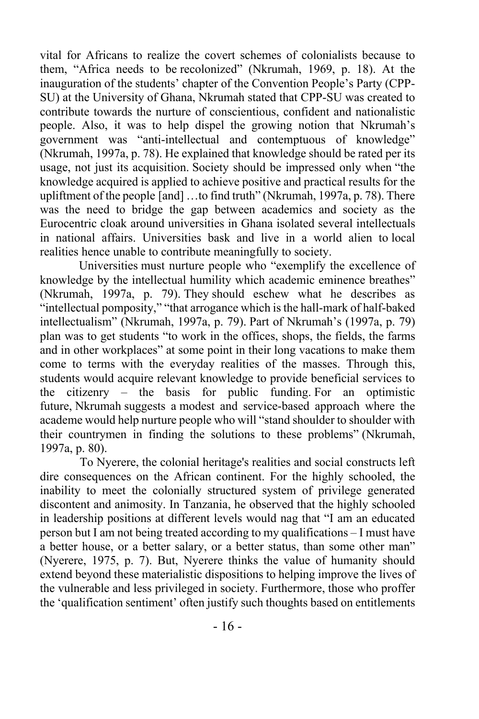vital for Africans to realize the covert schemes of colonialists because to them, "Africa needs to be recolonized" (Nkrumah, 1969, p. 18). At the inauguration of the students' chapter of the Convention People's Party (CPP-SU) at the University of Ghana, Nkrumah stated that CPP-SU was created to contribute towards the nurture of conscientious, confident and nationalistic people. Also, it was to help dispel the growing notion that Nkrumah's government was "anti-intellectual and contemptuous of knowledge" (Nkrumah, 1997a, p. 78). He explained that knowledge should be rated per its usage, not just its acquisition. Society should be impressed only when "the knowledge acquired is applied to achieve positive and practical results for the upliftment of the people [and] …to find truth" (Nkrumah, 1997a, p. 78). There was the need to bridge the gap between academics and society as the Eurocentric cloak around universities in Ghana isolated several intellectuals in national affairs. Universities bask and live in a world alien to local realities hence unable to contribute meaningfully to society.

Universities must nurture people who "exemplify the excellence of knowledge by the intellectual humility which academic eminence breathes" (Nkrumah, 1997a, p. 79). They should eschew what he describes as "intellectual pomposity," "that arrogance which is the hall-mark of half-baked intellectualism" (Nkrumah, 1997a, p. 79). Part of Nkrumah's (1997a, p. 79) plan was to get students "to work in the offices, shops, the fields, the farms and in other workplaces" at some point in their long vacations to make them come to terms with the everyday realities of the masses. Through this, students would acquire relevant knowledge to provide beneficial services to the citizenry – the basis for public funding. For an optimistic future, Nkrumah suggests a modest and service-based approach where the academe would help nurture people who will "stand shoulder to shoulder with their countrymen in finding the solutions to these problems" (Nkrumah, 1997a, p. 80).

To Nyerere, the colonial heritage's realities and social constructs left dire consequences on the African continent. For the highly schooled, the inability to meet the colonially structured system of privilege generated discontent and animosity. In Tanzania, he observed that the highly schooled in leadership positions at different levels would nag that "I am an educated person but I am not being treated according to my qualifications – I must have a better house, or a better salary, or a better status, than some other man" (Nyerere, 1975, p. 7). But, Nyerere thinks the value of humanity should extend beyond these materialistic dispositions to helping improve the lives of the vulnerable and less privileged in society. Furthermore, those who proffer the 'qualification sentiment' often justify such thoughts based on entitlements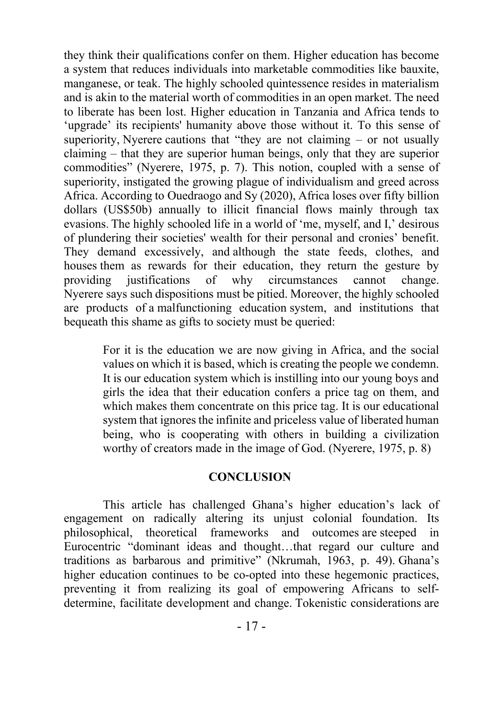they think their qualifications confer on them. Higher education has become a system that reduces individuals into marketable commodities like bauxite, manganese, or teak. The highly schooled quintessence resides in materialism and is akin to the material worth of commodities in an open market. The need to liberate has been lost. Higher education in Tanzania and Africa tends to 'upgrade' its recipients' humanity above those without it. To this sense of superiority, Nyerere cautions that "they are not claiming  $-$  or not usually claiming – that they are superior human beings, only that they are superior commodities" (Nyerere, 1975, p. 7). This notion, coupled with a sense of superiority, instigated the growing plague of individualism and greed across Africa. According to Ouedraogo and Sy (2020), Africa loses over fifty billion dollars (US\$50b) annually to illicit financial flows mainly through tax evasions. The highly schooled life in a world of 'me, myself, and I,' desirous of plundering their societies' wealth for their personal and cronies' benefit. They demand excessively, and although the state feeds, clothes, and houses them as rewards for their education, they return the gesture by providing justifications of why circumstances cannot change. Nyerere says such dispositions must be pitied. Moreover, the highly schooled are products of a malfunctioning education system, and institutions that bequeath this shame as gifts to society must be queried:

> For it is the education we are now giving in Africa, and the social values on which it is based, which is creating the people we condemn. It is our education system which is instilling into our young boys and girls the idea that their education confers a price tag on them, and which makes them concentrate on this price tag. It is our educational system that ignores the infinite and priceless value of liberated human being, who is cooperating with others in building a civilization worthy of creators made in the image of God. (Nyerere, 1975, p. 8)

#### **CONCLUSION**

This article has challenged Ghana's higher education's lack of engagement on radically altering its unjust colonial foundation. Its philosophical, theoretical frameworks and outcomes are steeped in Eurocentric "dominant ideas and thought…that regard our culture and traditions as barbarous and primitive" (Nkrumah, 1963, p. 49). Ghana's higher education continues to be co-opted into these hegemonic practices, preventing it from realizing its goal of empowering Africans to selfdetermine, facilitate development and change. Tokenistic considerations are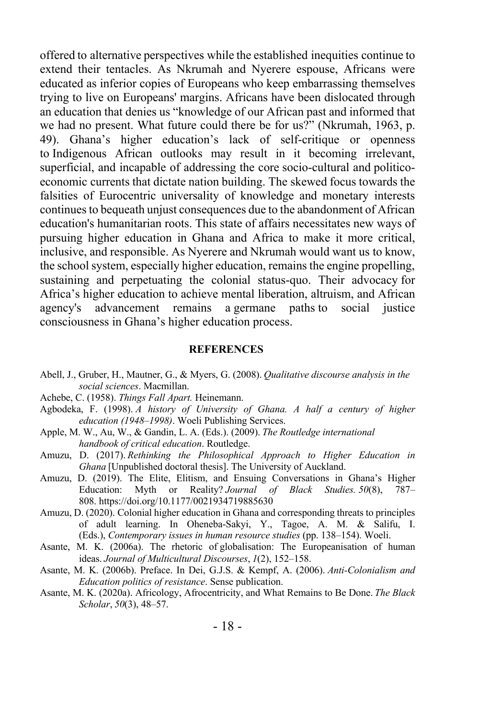offered to alternative perspectives while the established inequities continue to extend their tentacles. As Nkrumah and Nyerere espouse, Africans were educated as inferior copies of Europeans who keep embarrassing themselves trying to live on Europeans' margins. Africans have been dislocated through an education that denies us "knowledge of our African past and informed that we had no present. What future could there be for us?" (Nkrumah, 1963, p. 49). Ghana's higher education's lack of self-critique or openness to Indigenous African outlooks may result in it becoming irrelevant, superficial, and incapable of addressing the core socio-cultural and politicoeconomic currents that dictate nation building. The skewed focus towards the falsities of Eurocentric universality of knowledge and monetary interests continues to bequeath unjust consequences due to the abandonment of African education's humanitarian roots. This state of affairs necessitates new ways of pursuing higher education in Ghana and Africa to make it more critical, inclusive, and responsible. As Nyerere and Nkrumah would want us to know, the school system, especially higher education, remains the engine propelling, sustaining and perpetuating the colonial status-quo. Their advocacy for Africa's higher education to achieve mental liberation, altruism, and African agency's advancement remains a germane paths to social justice consciousness in Ghana's higher education process.

#### **REFERENCES**

- Abell, J., Gruber, H., Mautner, G., & Myers, G. (2008). *Qualitative discourse analysis in the social sciences*. Macmillan.
- Achebe, C. (1958). *Things Fall Apart.* Heinemann.
- Agbodeka, F. (1998). *A history of University of Ghana. A half a century of higher education (1948–1998)*. Woeli Publishing Services.
- Apple, M. W., Au, W., & Gandin, L. A. (Eds.). (2009). *The Routledge international handbook of critical education*. Routledge.
- Amuzu, D. (2017). *Rethinking the Philosophical Approach to Higher Education in Ghana* [Unpublished doctoral thesis]. The University of Auckland.
- Amuzu, D. (2019). The Elite, Elitism, and Ensuing Conversations in Ghana's Higher Education: Myth or Reality? *Journal of Black Studies. 50*(8), 787– 808. https://doi.org/10.1177/0021934719885630
- Amuzu, D. (2020). Colonial higher education in Ghana and corresponding threats to principles of adult learning. In Oheneba-Sakyi, Y., Tagoe, A. M. & Salifu, I. (Eds.), *Contemporary issues in human resource studies* (pp. 138–154). Woeli.
- Asante, M. K. (2006a). The rhetoric of globalisation: The Europeanisation of human ideas. *Journal of Multicultural Discourses*, *1*(2), 152–158.
- Asante, M. K. (2006b). Preface. In Dei, G.J.S. & Kempf, A. (2006). *Anti-Colonialism and Education politics of resistance*. Sense publication.
- Asante, M. K. (2020a). Africology, Afrocentricity, and What Remains to Be Done. *The Black Scholar*, *50*(3), 48–57.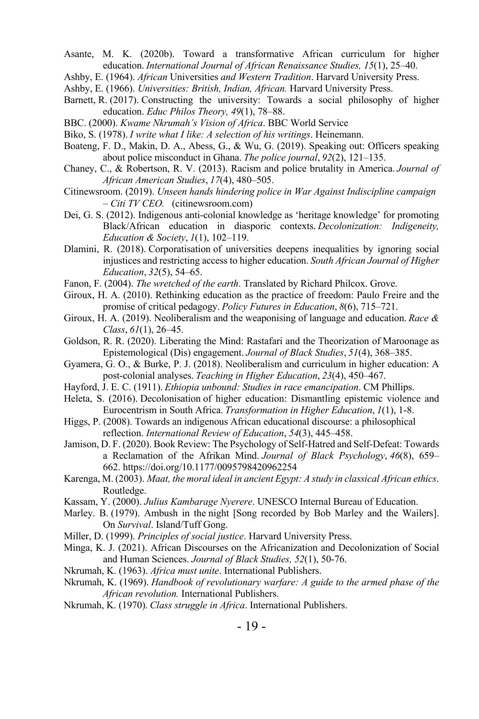- Asante, M. K. (2020b). Toward a transformative African curriculum for higher education. *International Journal of African Renaissance Studies, 15*(1), 25–40.
- Ashby, E. (1964). *African* Universities *and Western Tradition*. Harvard University Press.
- Ashby, E. (1966). *Universities: British, Indian, African.* Harvard University Press.
- Barnett, R. (2017). Constructing the university: Towards a social philosophy of higher education. *Educ Philos Theory, 49*(1), 78–88.
- BBC. (2000). *Kwame Nkrumah's Vision of Africa*. BBC World Service
- Biko, S. (1978). *I write what I like: A selection of his writings*. Heinemann.
- Boateng, F. D., Makin, D. A., Abess, G., & Wu, G. (2019). Speaking out: Officers speaking about police misconduct in Ghana. *The police journal*, *92*(2), 121–135.
- Chaney, C., & Robertson, R. V. (2013). Racism and police brutality in America. *Journal of African American Studies*, *17*(4), 480–505.
- Citinewsroom. (2019). *Unseen hands hindering police in War Against Indiscipline campaign – Citi TV CEO.* (citinewsroom.com)
- Dei, G. S. (2012). Indigenous anti-colonial knowledge as 'heritage knowledge' for promoting Black/African education in diasporic contexts. *Decolonization: Indigeneity, Education & Society*, *1*(1), 102–119.
- Dlamini, R. (2018). Corporatisation of universities deepens inequalities by ignoring social injustices and restricting access to higher education. *South African Journal of Higher Education*, *32*(5), 54–65.
- Fanon, F. (2004). *The wretched of the earth*. Translated by Richard Philcox. Grove.
- Giroux, H. A. (2010). Rethinking education as the practice of freedom: Paulo Freire and the promise of critical pedagogy. *Policy Futures in Education*, *8*(6), 715–721.
- Giroux, H. A. (2019). Neoliberalism and the weaponising of language and education. *Race & Class*, *61*(1), 26–45.
- Goldson, R. R. (2020). Liberating the Mind: Rastafari and the Theorization of Maroonage as Epistemological (Dis) engagement. *Journal of Black Studies*, *51*(4), 368–385.
- Gyamera, G. O., & Burke, P. J. (2018). Neoliberalism and curriculum in higher education: A post-colonial analyses. *Teaching in Higher Education*, *23*(4), 450–467.
- Hayford, J. E. C. (1911). *Ethiopia unbound: Studies in race emancipation*. CM Phillips.
- Heleta, S. (2016). Decolonisation of higher education: Dismantling epistemic violence and Eurocentrism in South Africa. *Transformation in Higher Education*, *1*(1), 1-8.
- Higgs, P. (2008). Towards an indigenous African educational discourse: a philosophical reflection. *International Review of Education*, *54*(3), 445–458.
- Jamison, D. F. (2020). Book Review: The Psychology of Self-Hatred and Self-Defeat: Towards a Reclamation of the Afrikan Mind. *Journal of Black Psychology*, *46*(8), 659– 662. https://doi.org/10.1177/0095798420962254
- Karenga, M. (2003). *Maat, the moral ideal in ancient Egypt: A study in classical African ethics*. Routledge.
- Kassam, Y. (2000). *Julius Kambarage Nyerere*. UNESCO Internal Bureau of Education.
- Marley. B. (1979). Ambush in the night [Song recorded by Bob Marley and the Wailers]. On *Survival*. Island/Tuff Gong.
- Miller, D. (1999). *Principles of social justice*. Harvard University Press.
- Minga, K. J. (2021). African Discourses on the Africanization and Decolonization of Social and Human Sciences. *Journal of Black Studies, 52*(1), 50-76.
- Nkrumah, K. (1963). *Africa must unite*. International Publishers.
- Nkrumah, K. (1969). *Handbook of revolutionary warfare: A guide to the armed phase of the African revolution.* International Publishers.
- Nkrumah, K. (1970). *Class struggle in Africa*. International Publishers.